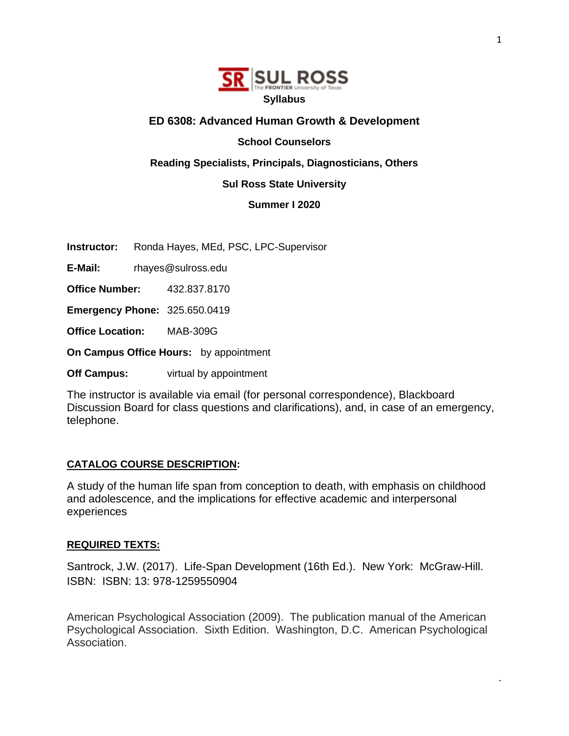

#### **ED 6308: Advanced Human Growth & Development**

**School Counselors** 

**Reading Specialists, Principals, Diagnosticians, Others** 

#### **Sul Ross State University**

**Summer I 2020**

**Instructor:** Ronda Hayes, MEd, PSC, LPC-Supervisor

**E-Mail:** rhayes@sulross.edu

**Office Number:** 432.837.8170

**Emergency Phone:** 325.650.0419

**Office Location:** MAB-309G

**On Campus Office Hours:** by appointment

**Off Campus:** virtual by appointment

The instructor is available via email (for personal correspondence), Blackboard Discussion Board for class questions and clarifications), and, in case of an emergency, telephone.

#### **CATALOG COURSE DESCRIPTION:**

A study of the human life span from conception to death, with emphasis on childhood and adolescence, and the implications for effective academic and interpersonal experiences

#### **REQUIRED TEXTS:**

Santrock, J.W. (2017). Life-Span Development (16th Ed.). New York: McGraw-Hill. ISBN: ISBN: 13: 978-1259550904

American Psychological Association (2009). The publication manual of the American Psychological Association. Sixth Edition. Washington, D.C. American Psychological Association.

.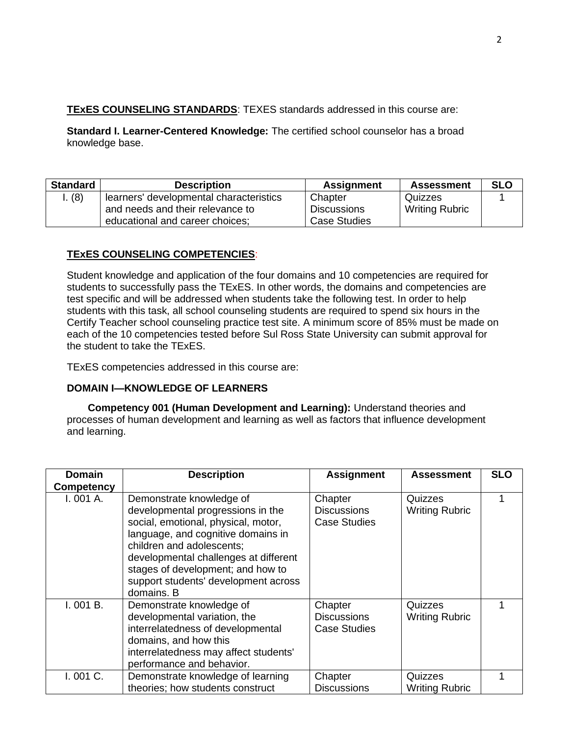## **TEXES COUNSELING STANDARDS:** TEXES standards addressed in this course are:

**Standard I. Learner-Centered Knowledge:** The certified school counselor has a broad knowledge base.

| <b>Standard</b> | <b>Description</b>                                                  | <b>Assignment</b>                         | <b>Assessment</b>     | <b>SLO</b> |
|-----------------|---------------------------------------------------------------------|-------------------------------------------|-----------------------|------------|
| (8)             | learners' developmental characteristics                             | Chapter                                   | Quizzes               |            |
|                 | and needs and their relevance to<br>educational and career choices; | <b>Discussions</b><br><b>Case Studies</b> | <b>Writing Rubric</b> |            |

## **TExES COUNSELING COMPETENCIES**:

Student knowledge and application of the four domains and 10 competencies are required for students to successfully pass the TExES. In other words, the domains and competencies are test specific and will be addressed when students take the following test. In order to help students with this task, all school counseling students are required to spend six hours in the Certify Teacher school counseling practice test site. A minimum score of 85% must be made on each of the 10 competencies tested before Sul Ross State University can submit approval for the student to take the TExES.

TExES competencies addressed in this course are:

## **DOMAIN I—KNOWLEDGE OF LEARNERS**

**Competency 001 (Human Development and Learning):** Understand theories and processes of human development and learning as well as factors that influence development and learning.

| <b>Domain</b> | <b>Description</b>                                                                                                                                                                                                                                                                                          | <b>Assignment</b>                                    | <b>Assessment</b>                | <b>SLO</b> |
|---------------|-------------------------------------------------------------------------------------------------------------------------------------------------------------------------------------------------------------------------------------------------------------------------------------------------------------|------------------------------------------------------|----------------------------------|------------|
| Competency    |                                                                                                                                                                                                                                                                                                             |                                                      |                                  |            |
| I. 001 A.     | Demonstrate knowledge of<br>developmental progressions in the<br>social, emotional, physical, motor,<br>language, and cognitive domains in<br>children and adolescents;<br>developmental challenges at different<br>stages of development; and how to<br>support students' development across<br>domains. B | Chapter<br><b>Discussions</b><br><b>Case Studies</b> | Quizzes<br><b>Writing Rubric</b> |            |
| I. 001 B.     | Demonstrate knowledge of<br>developmental variation, the<br>interrelatedness of developmental<br>domains, and how this<br>interrelatedness may affect students'<br>performance and behavior.                                                                                                                | Chapter<br><b>Discussions</b><br><b>Case Studies</b> | Quizzes<br><b>Writing Rubric</b> |            |
| I.001C.       | Demonstrate knowledge of learning<br>theories; how students construct                                                                                                                                                                                                                                       | Chapter<br><b>Discussions</b>                        | Quizzes<br><b>Writing Rubric</b> |            |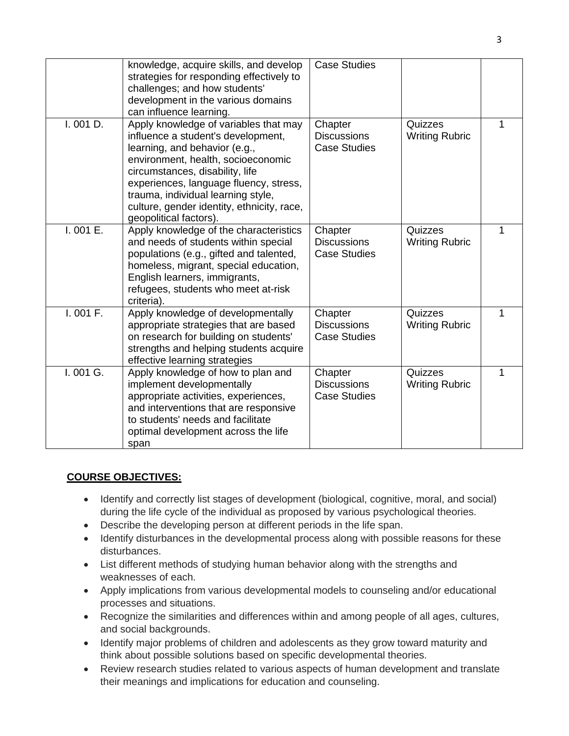|          | knowledge, acquire skills, and develop<br>strategies for responding effectively to<br>challenges; and how students'<br>development in the various domains<br>can influence learning.                                                                                                                                                          | <b>Case Studies</b>                                  |                                  |   |
|----------|-----------------------------------------------------------------------------------------------------------------------------------------------------------------------------------------------------------------------------------------------------------------------------------------------------------------------------------------------|------------------------------------------------------|----------------------------------|---|
| I.001D.  | Apply knowledge of variables that may<br>influence a student's development,<br>learning, and behavior (e.g.,<br>environment, health, socioeconomic<br>circumstances, disability, life<br>experiences, language fluency, stress,<br>trauma, individual learning style,<br>culture, gender identity, ethnicity, race,<br>geopolitical factors). | Chapter<br><b>Discussions</b><br><b>Case Studies</b> | Quizzes<br><b>Writing Rubric</b> | 1 |
| I.001 E. | Apply knowledge of the characteristics<br>and needs of students within special<br>populations (e.g., gifted and talented,<br>homeless, migrant, special education,<br>English learners, immigrants,<br>refugees, students who meet at-risk<br>criteria).                                                                                      | Chapter<br><b>Discussions</b><br><b>Case Studies</b> | Quizzes<br><b>Writing Rubric</b> | 1 |
| I.001 F. | Apply knowledge of developmentally<br>appropriate strategies that are based<br>on research for building on students'<br>strengths and helping students acquire<br>effective learning strategies                                                                                                                                               | Chapter<br><b>Discussions</b><br><b>Case Studies</b> | Quizzes<br><b>Writing Rubric</b> | 1 |
| I.001 G. | Apply knowledge of how to plan and<br>implement developmentally<br>appropriate activities, experiences,<br>and interventions that are responsive<br>to students' needs and facilitate<br>optimal development across the life<br>span                                                                                                          | Chapter<br><b>Discussions</b><br><b>Case Studies</b> | Quizzes<br><b>Writing Rubric</b> | 1 |

## **COURSE OBJECTIVES:**

- Identify and correctly list stages of development (biological, cognitive, moral, and social) during the life cycle of the individual as proposed by various psychological theories.
- Describe the developing person at different periods in the life span.
- Identify disturbances in the developmental process along with possible reasons for these disturbances.
- List different methods of studying human behavior along with the strengths and weaknesses of each.
- Apply implications from various developmental models to counseling and/or educational processes and situations.
- Recognize the similarities and differences within and among people of all ages, cultures, and social backgrounds.
- Identify major problems of children and adolescents as they grow toward maturity and think about possible solutions based on specific developmental theories.
- Review research studies related to various aspects of human development and translate their meanings and implications for education and counseling.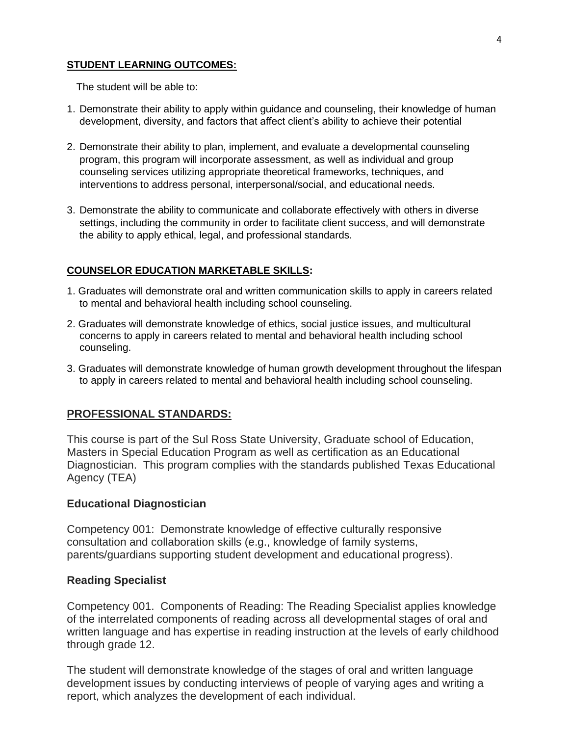#### **STUDENT LEARNING OUTCOMES:**

The student will be able to:

- 1. Demonstrate their ability to apply within guidance and counseling, their knowledge of human development, diversity, and factors that affect client's ability to achieve their potential
- 2. Demonstrate their ability to plan, implement, and evaluate a developmental counseling program, this program will incorporate assessment, as well as individual and group counseling services utilizing appropriate theoretical frameworks, techniques, and interventions to address personal, interpersonal/social, and educational needs.
- 3. Demonstrate the ability to communicate and collaborate effectively with others in diverse settings, including the community in order to facilitate client success, and will demonstrate the ability to apply ethical, legal, and professional standards.

## **COUNSELOR EDUCATION MARKETABLE SKILLS:**

- 1. Graduates will demonstrate oral and written communication skills to apply in careers related to mental and behavioral health including school counseling.
- 2. Graduates will demonstrate knowledge of ethics, social justice issues, and multicultural concerns to apply in careers related to mental and behavioral health including school counseling.
- 3. Graduates will demonstrate knowledge of human growth development throughout the lifespan to apply in careers related to mental and behavioral health including school counseling.

# **PROFESSIONAL STANDARDS:**

This course is part of the Sul Ross State University, Graduate school of Education, Masters in Special Education Program as well as certification as an Educational Diagnostician. This program complies with the standards published Texas Educational Agency (TEA)

## **Educational Diagnostician**

Competency 001: Demonstrate knowledge of effective culturally responsive consultation and collaboration skills (e.g., knowledge of family systems, parents/guardians supporting student development and educational progress).

## **Reading Specialist**

Competency 001. Components of Reading: The Reading Specialist applies knowledge of the interrelated components of reading across all developmental stages of oral and written language and has expertise in reading instruction at the levels of early childhood through grade 12.

The student will demonstrate knowledge of the stages of oral and written language development issues by conducting interviews of people of varying ages and writing a report, which analyzes the development of each individual.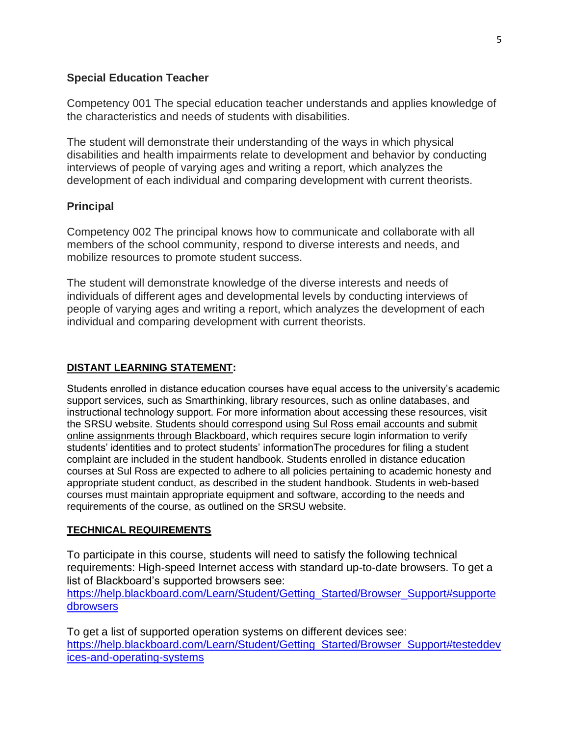#### **Special Education Teacher**

Competency 001 The special education teacher understands and applies knowledge of the characteristics and needs of students with disabilities.

The student will demonstrate their understanding of the ways in which physical disabilities and health impairments relate to development and behavior by conducting interviews of people of varying ages and writing a report, which analyzes the development of each individual and comparing development with current theorists.

## **Principal**

Competency 002 The principal knows how to communicate and collaborate with all members of the school community, respond to diverse interests and needs, and mobilize resources to promote student success.

The student will demonstrate knowledge of the diverse interests and needs of individuals of different ages and developmental levels by conducting interviews of people of varying ages and writing a report, which analyzes the development of each individual and comparing development with current theorists.

#### **DISTANT LEARNING STATEMENT:**

Students enrolled in distance education courses have equal access to the university's academic support services, such as Smarthinking, library resources, such as online databases, and instructional technology support. For more information about accessing these resources, visit the SRSU website. Students should correspond using Sul Ross email accounts and submit online assignments through Blackboard, which requires secure login information to verify students' identities and to protect students' informationThe procedures for filing a student complaint are included in the student handbook. Students enrolled in distance education courses at Sul Ross are expected to adhere to all policies pertaining to academic honesty and appropriate student conduct, as described in the student handbook. Students in web-based courses must maintain appropriate equipment and software, according to the needs and requirements of the course, as outlined on the SRSU website.

#### **TECHNICAL REQUIREMENTS**

To participate in this course, students will need to satisfy the following technical requirements: High-speed Internet access with standard up-to-date browsers. To get a list of Blackboard's supported browsers see:

[https://help.blackboard.com/Learn/Student/Getting\\_Started/Browser\\_Support#supporte](https://help.blackboard.com/Learn/Student/Getting_Started/Browser_Support%23supportedbrowsers) [dbrowsers](https://help.blackboard.com/Learn/Student/Getting_Started/Browser_Support%23supportedbrowsers)

To get a list of supported operation systems on different devices see: [https://help.blackboard.com/Learn/Student/Getting\\_Started/Browser\\_Support#testeddev](https://help.blackboard.com/Learn/Student/Getting_Started/Browser_Support%23testeddevices-and-operating-systems) [ices-and-operating-systems](https://help.blackboard.com/Learn/Student/Getting_Started/Browser_Support%23testeddevices-and-operating-systems)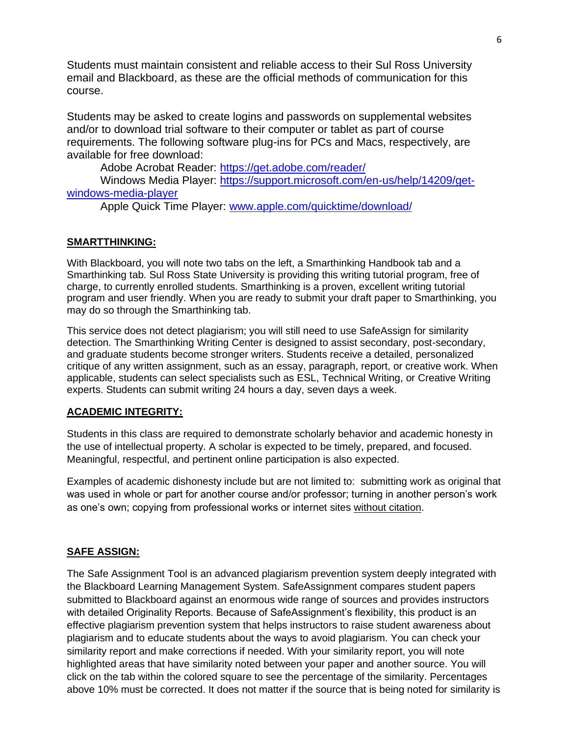Students must maintain consistent and reliable access to their Sul Ross University email and Blackboard, as these are the official methods of communication for this course.

Students may be asked to create logins and passwords on supplemental websites and/or to download trial software to their computer or tablet as part of course requirements. The following software plug-ins for PCs and Macs, respectively, are available for free download:

Adobe Acrobat Reader:<https://get.adobe.com/reader/>

Windows Media Player: [https://support.microsoft.com/en-us/help/14209/get](https://support.microsoft.com/en-us/help/14209/get-windows-media-player)[windows-media-player](https://support.microsoft.com/en-us/help/14209/get-windows-media-player)

Apple Quick Time Player: [www.apple.com/quicktime/download/](file:///C:/Users/lisa.sousa/AppData/Roaming/Microsoft/Word/www.apple.com/quicktime/download/)

## **SMARTTHINKING:**

With Blackboard, you will note two tabs on the left, a Smarthinking Handbook tab and a Smarthinking tab. Sul Ross State University is providing this writing tutorial program, free of charge, to currently enrolled students. Smarthinking is a proven, excellent writing tutorial program and user friendly. When you are ready to submit your draft paper to Smarthinking, you may do so through the Smarthinking tab.

This service does not detect plagiarism; you will still need to use SafeAssign for similarity detection. The Smarthinking Writing Center is designed to assist secondary, post-secondary, and graduate students become stronger writers. Students receive a detailed, personalized critique of any written assignment, such as an essay, paragraph, report, or creative work. When applicable, students can select specialists such as ESL, Technical Writing, or Creative Writing experts. Students can submit writing 24 hours a day, seven days a week.

## **ACADEMIC INTEGRITY:**

Students in this class are required to demonstrate scholarly behavior and academic honesty in the use of intellectual property. A scholar is expected to be timely, prepared, and focused. Meaningful, respectful, and pertinent online participation is also expected.

Examples of academic dishonesty include but are not limited to: submitting work as original that was used in whole or part for another course and/or professor; turning in another person's work as one's own; copying from professional works or internet sites without citation.

## **SAFE ASSIGN:**

The Safe Assignment Tool is an advanced plagiarism prevention system deeply integrated with the Blackboard Learning Management System. SafeAssignment compares student papers submitted to Blackboard against an enormous wide range of sources and provides instructors with detailed Originality Reports. Because of SafeAssignment's flexibility, this product is an effective plagiarism prevention system that helps instructors to raise student awareness about plagiarism and to educate students about the ways to avoid plagiarism. You can check your similarity report and make corrections if needed. With your similarity report, you will note highlighted areas that have similarity noted between your paper and another source. You will click on the tab within the colored square to see the percentage of the similarity. Percentages above 10% must be corrected. It does not matter if the source that is being noted for similarity is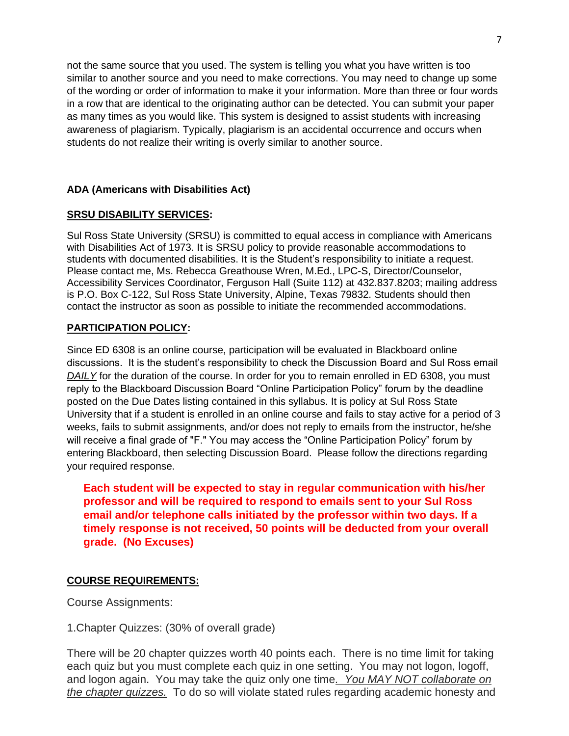not the same source that you used. The system is telling you what you have written is too similar to another source and you need to make corrections. You may need to change up some of the wording or order of information to make it your information. More than three or four words in a row that are identical to the originating author can be detected. You can submit your paper as many times as you would like. This system is designed to assist students with increasing awareness of plagiarism. Typically, plagiarism is an accidental occurrence and occurs when students do not realize their writing is overly similar to another source.

#### **ADA (Americans with Disabilities Act)**

#### **SRSU DISABILITY SERVICES:**

Sul Ross State University (SRSU) is committed to equal access in compliance with Americans with Disabilities Act of 1973. It is SRSU policy to provide reasonable accommodations to students with documented disabilities. It is the Student's responsibility to initiate a request. Please contact me, Ms. Rebecca Greathouse Wren, M.Ed., LPC-S, Director/Counselor, Accessibility Services Coordinator, Ferguson Hall (Suite 112) at 432.837.8203; mailing address is P.O. Box C-122, Sul Ross State University, Alpine, Texas 79832. Students should then contact the instructor as soon as possible to initiate the recommended accommodations.

#### **PARTICIPATION POLICY:**

Since ED 6308 is an online course, participation will be evaluated in Blackboard online discussions. It is the student's responsibility to check the Discussion Board and Sul Ross email **DAILY** for the duration of the course. In order for you to remain enrolled in ED 6308, you must reply to the Blackboard Discussion Board "Online Participation Policy" forum by the deadline posted on the Due Dates listing contained in this syllabus. It is policy at Sul Ross State University that if a student is enrolled in an online course and fails to stay active for a period of 3 weeks, fails to submit assignments, and/or does not reply to emails from the instructor, he/she will receive a final grade of "F." You may access the "Online Participation Policy" forum by entering Blackboard, then selecting Discussion Board. Please follow the directions regarding your required response.

**Each student will be expected to stay in regular communication with his/her professor and will be required to respond to emails sent to your Sul Ross email and/or telephone calls initiated by the professor within two days. If a timely response is not received, 50 points will be deducted from your overall grade. (No Excuses)**

## **COURSE REQUIREMENTS:**

Course Assignments:

1.Chapter Quizzes: (30% of overall grade)

There will be 20 chapter quizzes worth 40 points each. There is no time limit for taking each quiz but you must complete each quiz in one setting. You may not logon, logoff, and logon again. You may take the quiz only one time*. You MAY NOT collaborate on the chapter quizzes.* To do so will violate stated rules regarding academic honesty and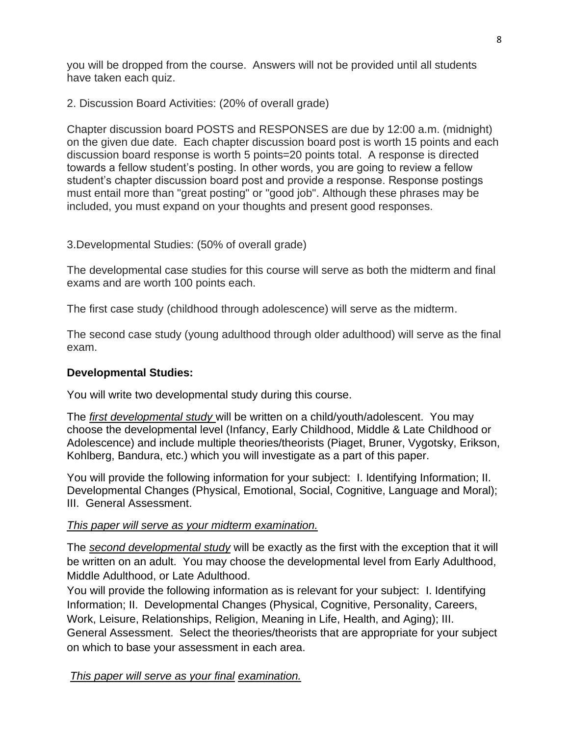you will be dropped from the course. Answers will not be provided until all students have taken each quiz.

2. Discussion Board Activities: (20% of overall grade)

Chapter discussion board POSTS and RESPONSES are due by 12:00 a.m. (midnight) on the given due date. Each chapter discussion board post is worth 15 points and each discussion board response is worth 5 points=20 points total. A response is directed towards a fellow student's posting. In other words, you are going to review a fellow student's chapter discussion board post and provide a response. Response postings must entail more than "great posting" or "good job". Although these phrases may be included, you must expand on your thoughts and present good responses.

3.Developmental Studies: (50% of overall grade)

The developmental case studies for this course will serve as both the midterm and final exams and are worth 100 points each.

The first case study (childhood through adolescence) will serve as the midterm.

The second case study (young adulthood through older adulthood) will serve as the final exam.

# **Developmental Studies:**

You will write two developmental study during this course.

The *first developmental study* will be written on a child/youth/adolescent. You may choose the developmental level (Infancy, Early Childhood, Middle & Late Childhood or Adolescence) and include multiple theories/theorists (Piaget, Bruner, Vygotsky, Erikson, Kohlberg, Bandura, etc.) which you will investigate as a part of this paper.

You will provide the following information for your subject: I. Identifying Information; II. Developmental Changes (Physical, Emotional, Social, Cognitive, Language and Moral); III. General Assessment.

## *This paper will serve as your midterm examination.*

The *second developmental study* will be exactly as the first with the exception that it will be written on an adult. You may choose the developmental level from Early Adulthood, Middle Adulthood, or Late Adulthood.

You will provide the following information as is relevant for your subject: I. Identifying Information; II. Developmental Changes (Physical, Cognitive, Personality, Careers, Work, Leisure, Relationships, Religion, Meaning in Life, Health, and Aging); III. General Assessment. Select the theories/theorists that are appropriate for your subject on which to base your assessment in each area.

*This paper will serve as your final examination.*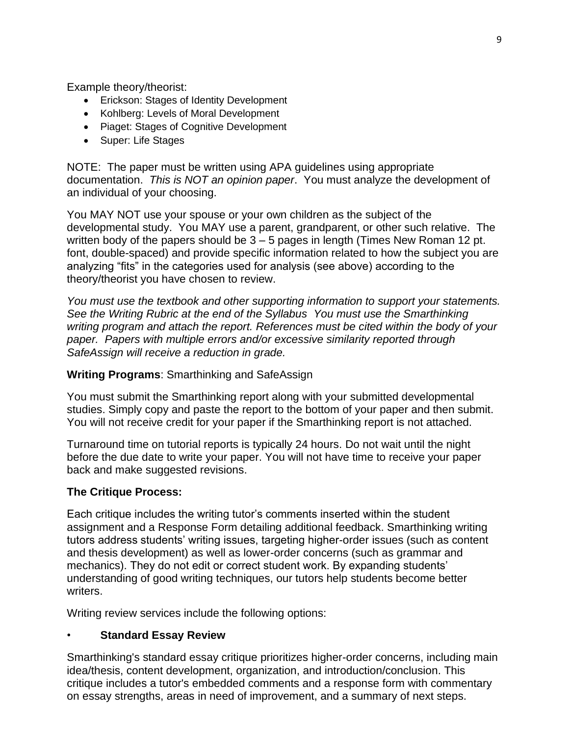Example theory/theorist:

- Erickson: Stages of Identity Development
- Kohlberg: Levels of Moral Development
- Piaget: Stages of Cognitive Development
- Super: Life Stages

NOTE: The paper must be written using APA guidelines using appropriate documentation. *This is NOT an opinion paper*. You must analyze the development of an individual of your choosing.

You MAY NOT use your spouse or your own children as the subject of the developmental study. You MAY use a parent, grandparent, or other such relative. The written body of the papers should be 3 – 5 pages in length (Times New Roman 12 pt. font, double-spaced) and provide specific information related to how the subject you are analyzing "fits" in the categories used for analysis (see above) according to the theory/theorist you have chosen to review.

*You must use the textbook and other supporting information to support your statements. See the Writing Rubric at the end of the Syllabus You must use the Smarthinking writing program and attach the report. References must be cited within the body of your paper. Papers with multiple errors and/or excessive similarity reported through SafeAssign will receive a reduction in grade.*

## **Writing Programs**: Smarthinking and SafeAssign

You must submit the Smarthinking report along with your submitted developmental studies. Simply copy and paste the report to the bottom of your paper and then submit. You will not receive credit for your paper if the Smarthinking report is not attached.

Turnaround time on tutorial reports is typically 24 hours. Do not wait until the night before the due date to write your paper. You will not have time to receive your paper back and make suggested revisions.

## **The Critique Process:**

Each critique includes the writing tutor's comments inserted within the student assignment and a Response Form detailing additional feedback. Smarthinking writing tutors address students' writing issues, targeting higher-order issues (such as content and thesis development) as well as lower-order concerns (such as grammar and mechanics). They do not edit or correct student work. By expanding students' understanding of good writing techniques, our tutors help students become better writers.

Writing review services include the following options:

## • **Standard Essay Review**

Smarthinking's standard essay critique prioritizes higher-order concerns, including main idea/thesis, content development, organization, and introduction/conclusion. This critique includes a tutor's embedded comments and a response form with commentary on essay strengths, areas in need of improvement, and a summary of next steps.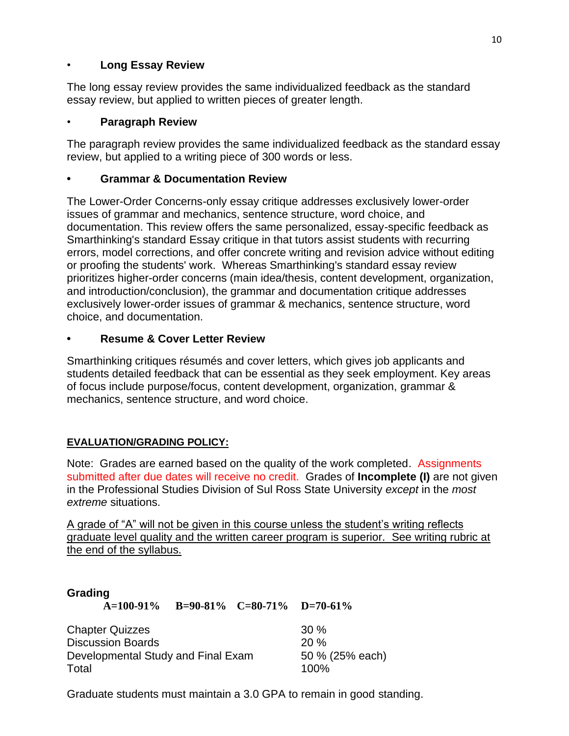# • **Long Essay Review**

The long essay review provides the same individualized feedback as the standard essay review, but applied to written pieces of greater length.

# • **Paragraph Review**

The paragraph review provides the same individualized feedback as the standard essay review, but applied to a writing piece of 300 words or less.

# **• Grammar & Documentation Review**

The Lower-Order Concerns-only essay critique addresses exclusively lower-order issues of grammar and mechanics, sentence structure, word choice, and documentation. This review offers the same personalized, essay-specific feedback as Smarthinking's standard Essay critique in that tutors assist students with recurring errors, model corrections, and offer concrete writing and revision advice without editing or proofing the students' work. Whereas Smarthinking's standard essay review prioritizes higher-order concerns (main idea/thesis, content development, organization, and introduction/conclusion), the grammar and documentation critique addresses exclusively lower-order issues of grammar & mechanics, sentence structure, word choice, and documentation.

# **• Resume & Cover Letter Review**

Smarthinking critiques résumés and cover letters, which gives job applicants and students detailed feedback that can be essential as they seek employment. Key areas of focus include purpose/focus, content development, organization, grammar & mechanics, sentence structure, and word choice.

# **EVALUATION/GRADING POLICY:**

Note: Grades are earned based on the quality of the work completed. Assignments submitted after due dates will receive no credit. Grades of **Incomplete (I)** are not given in the Professional Studies Division of Sul Ross State University *except* in the *most extreme* situations.

A grade of "A" will not be given in this course unless the student's writing reflects graduate level quality and the written career program is superior. See writing rubric at the end of the syllabus.

## **Grading**

**A=100-91% B=90-81% C=80-71% D=70-61%**

| <b>Chapter Quizzes</b>             | $30\%$          |
|------------------------------------|-----------------|
| <b>Discussion Boards</b>           | 20 %            |
| Developmental Study and Final Exam | 50 % (25% each) |
| Total                              | 100%            |

Graduate students must maintain a 3.0 GPA to remain in good standing.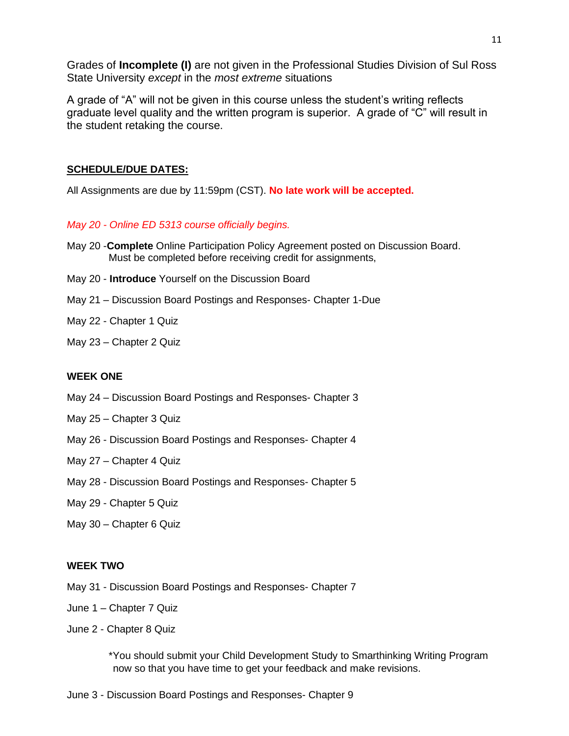Grades of **Incomplete (I)** are not given in the Professional Studies Division of Sul Ross State University *except* in the *most extreme* situations

A grade of "A" will not be given in this course unless the student's writing reflects graduate level quality and the written program is superior. A grade of "C" will result in the student retaking the course.

#### **SCHEDULE/DUE DATES:**

All Assignments are due by 11:59pm (CST). **No late work will be accepted.** 

#### *May 20 - Online ED 5313 course officially begins.*

- May 20 -**Complete** Online Participation Policy Agreement posted on Discussion Board. Must be completed before receiving credit for assignments,
- May 20 **Introduce** Yourself on the Discussion Board
- May 21 Discussion Board Postings and Responses- Chapter 1-Due
- May 22 Chapter 1 Quiz
- May 23 Chapter 2 Quiz

#### **WEEK ONE**

- May 24 Discussion Board Postings and Responses- Chapter 3
- May 25 Chapter 3 Quiz
- May 26 Discussion Board Postings and Responses- Chapter 4
- May 27 Chapter 4 Quiz
- May 28 Discussion Board Postings and Responses- Chapter 5
- May 29 Chapter 5 Quiz
- May 30 Chapter 6 Quiz

#### **WEEK TWO**

- May 31 Discussion Board Postings and Responses- Chapter 7
- June 1 Chapter 7 Quiz
- June 2 Chapter 8 Quiz

\*You should submit your Child Development Study to Smarthinking Writing Program now so that you have time to get your feedback and make revisions.

June 3 - Discussion Board Postings and Responses- Chapter 9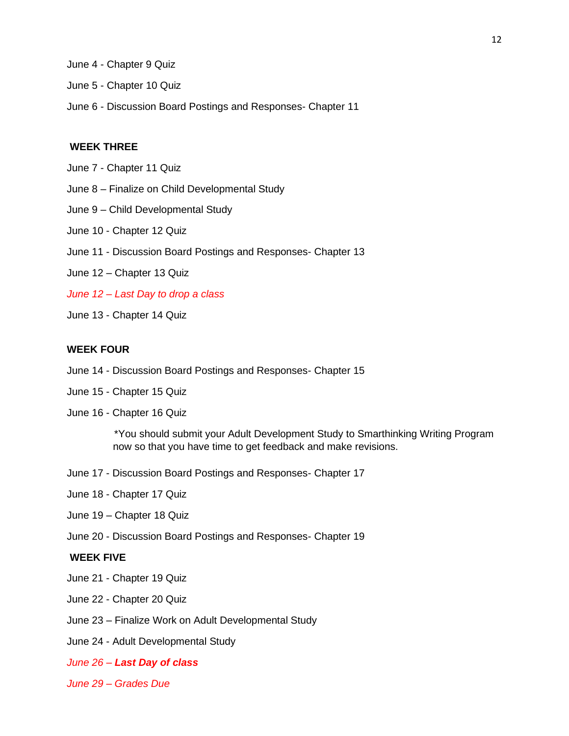- June 4 Chapter 9 Quiz
- June 5 Chapter 10 Quiz
- June 6 Discussion Board Postings and Responses- Chapter 11

#### **WEEK THREE**

- June 7 Chapter 11 Quiz
- June 8 Finalize on Child Developmental Study
- June 9 Child Developmental Study
- June 10 Chapter 12 Quiz
- June 11 Discussion Board Postings and Responses- Chapter 13
- June 12 Chapter 13 Quiz
- *June 12 – Last Day to drop a class*
- June 13 Chapter 14 Quiz

#### **WEEK FOUR**

- June 14 Discussion Board Postings and Responses- Chapter 15
- June 15 Chapter 15 Quiz
- June 16 Chapter 16 Quiz

\*You should submit your Adult Development Study to Smarthinking Writing Program now so that you have time to get feedback and make revisions.

- June 17 Discussion Board Postings and Responses- Chapter 17
- June 18 Chapter 17 Quiz
- June 19 Chapter 18 Quiz
- June 20 Discussion Board Postings and Responses- Chapter 19

#### **WEEK FIVE**

- June 21 Chapter 19 Quiz
- June 22 Chapter 20 Quiz
- June 23 Finalize Work on Adult Developmental Study
- June 24 Adult Developmental Study
- *June 26 – Last Day of class*
- *June 29 – Grades Due*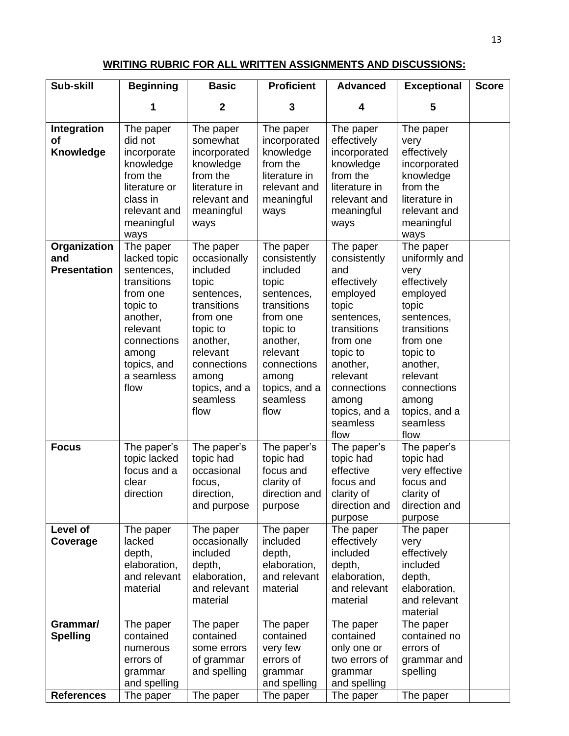#### **WRITING RUBRIC FOR ALL WRITTEN ASSIGNMENTS AND DISCUSSIONS:**

| Sub-skill                                  | <b>Beginning</b>                                                                                                                                                    | <b>Basic</b>                                                                                                                                                                             | <b>Proficient</b>                                                                                                                                                                        | <b>Advanced</b>                                                                                                                                                                                                | <b>Exceptional</b>                                                                                                                                                                                               | <b>Score</b> |
|--------------------------------------------|---------------------------------------------------------------------------------------------------------------------------------------------------------------------|------------------------------------------------------------------------------------------------------------------------------------------------------------------------------------------|------------------------------------------------------------------------------------------------------------------------------------------------------------------------------------------|----------------------------------------------------------------------------------------------------------------------------------------------------------------------------------------------------------------|------------------------------------------------------------------------------------------------------------------------------------------------------------------------------------------------------------------|--------------|
|                                            | 1                                                                                                                                                                   | $\mathbf{2}$                                                                                                                                                                             | 3                                                                                                                                                                                        | 4                                                                                                                                                                                                              | 5                                                                                                                                                                                                                |              |
| Integration<br><b>of</b><br>Knowledge      | The paper<br>did not<br>incorporate<br>knowledge<br>from the<br>literature or<br>class in<br>relevant and<br>meaningful<br>ways                                     | The paper<br>somewhat<br>incorporated<br>knowledge<br>from the<br>literature in<br>relevant and<br>meaningful<br>ways                                                                    | The paper<br>incorporated<br>knowledge<br>from the<br>literature in<br>relevant and<br>meaningful<br>ways                                                                                | The paper<br>effectively<br>incorporated<br>knowledge<br>from the<br>literature in<br>relevant and<br>meaningful<br>ways                                                                                       | The paper<br>very<br>effectively<br>incorporated<br>knowledge<br>from the<br>literature in<br>relevant and<br>meaningful<br>ways                                                                                 |              |
| Organization<br>and<br><b>Presentation</b> | The paper<br>lacked topic<br>sentences,<br>transitions<br>from one<br>topic to<br>another,<br>relevant<br>connections<br>among<br>topics, and<br>a seamless<br>flow | The paper<br>occasionally<br>included<br>topic<br>sentences,<br>transitions<br>from one<br>topic to<br>another,<br>relevant<br>connections<br>among<br>topics, and a<br>seamless<br>flow | The paper<br>consistently<br>included<br>topic<br>sentences,<br>transitions<br>from one<br>topic to<br>another,<br>relevant<br>connections<br>among<br>topics, and a<br>seamless<br>flow | The paper<br>consistently<br>and<br>effectively<br>employed<br>topic<br>sentences,<br>transitions<br>from one<br>topic to<br>another,<br>relevant<br>connections<br>among<br>topics, and a<br>seamless<br>flow | The paper<br>uniformly and<br>very<br>effectively<br>employed<br>topic<br>sentences,<br>transitions<br>from one<br>topic to<br>another,<br>relevant<br>connections<br>among<br>topics, and a<br>seamless<br>flow |              |
| <b>Focus</b>                               | The paper's<br>topic lacked<br>focus and a<br>clear<br>direction                                                                                                    | The paper's<br>topic had<br>occasional<br>focus,<br>direction,<br>and purpose                                                                                                            | The paper's<br>topic had<br>focus and<br>clarity of<br>direction and<br>purpose                                                                                                          | The paper's<br>topic had<br>effective<br>focus and<br>clarity of<br>direction and<br>purpose                                                                                                                   | The paper's<br>topic had<br>very effective<br>focus and<br>clarity of<br>direction and<br>purpose                                                                                                                |              |
| Level of<br>Coverage                       | The paper<br>lacked<br>depth,<br>elaboration,<br>and relevant<br>material                                                                                           | The paper<br>occasionally<br>included<br>depth,<br>elaboration,<br>and relevant<br>material                                                                                              | The paper<br>included<br>depth,<br>elaboration,<br>and relevant<br>material                                                                                                              | The paper<br>effectively<br>included<br>depth,<br>elaboration,<br>and relevant<br>material                                                                                                                     | The paper<br>very<br>effectively<br>included<br>depth,<br>elaboration,<br>and relevant<br>material                                                                                                               |              |
| Grammar/<br><b>Spelling</b>                | The paper<br>contained<br>numerous<br>errors of<br>grammar<br>and spelling                                                                                          | The paper<br>contained<br>some errors<br>of grammar<br>and spelling                                                                                                                      | The paper<br>contained<br>very few<br>errors of<br>grammar<br>and spelling                                                                                                               | The paper<br>contained<br>only one or<br>two errors of<br>grammar<br>and spelling                                                                                                                              | The paper<br>contained no<br>errors of<br>grammar and<br>spelling                                                                                                                                                |              |
| <b>References</b>                          | The paper                                                                                                                                                           | The paper                                                                                                                                                                                | The paper                                                                                                                                                                                | The paper                                                                                                                                                                                                      | The paper                                                                                                                                                                                                        |              |